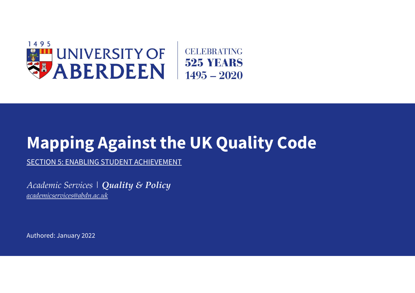

# **Mapping Against the UK Quality Code**

SECTION 5: ENABLING STUDENT ACHIEVEMENT

*Academic Services | Quality & Policy [academicservices@abdn.ac.uk](mailto:academicservices@abdn.ac.uk)*

Authored: January 2022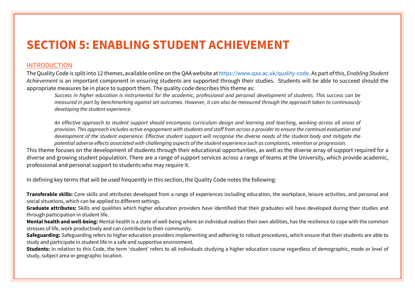## **SECTION 5: ENABLING STUDENT ACHIEVEMENT**

### INTRODUCTION

The Quality Code is split into 12 themes, available online on the QAA website a[t https://www.qaa.ac.uk/quality](https://www.qaa.ac.uk/quality-code)-code. As part of this, *Enabling Student Achievement* is an important component in ensuring students are supported through their studies. Students will be able to succeed should the appropriate measures be in place to support them. The quality code describes this theme as:

*Success in higher education is instrumental for the academic, professional and personal development of students. This success can be measured in part by benchmarking against set outcomes. However, it can also be measured through the approach taken to continuously developing the student experience.* 

*An effective approach to student support should encompass curriculum design and learning and teaching, working across all areas of provision. This approach includes active engagement with students and staff from across a provider to ensure the continual evaluation and development of the student experience. Effective student support will recognise the diverse needs of the student body and mitigate the potential adverse effects associated with challenging aspects of the student experience such as complaints, retention or progression.*

This theme focuses on the development of students through their educational opportunities, as well as the diverse array of support required for a diverse and growing student population. There are a range of support services across a range of teams at the University, which provide academic, professional and personal support to students who may require it.

In defining key terms that will be used frequently in this section, the Quality Code notes the following:

**Transferable skills:** Core skills and attributes developed from a range of experiences including education, the workplace, leisure activities, and personal and social situations, which can be applied to different settings.

**Graduate attributes:** Skills and qualities which higher education providers have identified that their graduates will have developed during their studies and through participation in student life.

**Mental health and well-being:** Mental health is a state of well-being where an individual realises their own abilities, has the resilience to cope with the common stresses of life, work productively and can contribute to their community.

**Safeguarding:** Safeguarding refers to higher education providers implementing and adhering to robust procedures, which ensure that their students are able to study and participate in student life in a safe and supportive environment.

**Students:** In relation to this Code, the term 'student' refers to all individuals studying a higher education course regardless of demographic, mode or level of study, subject area or geographic location.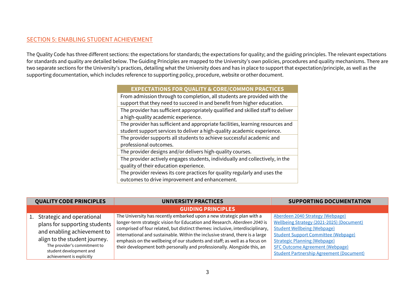#### SECTION 5: ENABLING STUDENT ACHIEVEMENT

The Quality Code has three different sections: the expectations for standards; the expectations for quality; and the guiding principles. The relevant expectations for standards and quality are detailed below. The Guiding Principles are mapped to the University's own policies, procedures and quality mechanisms. There are two separate sections for the University's practices, detailing what the University does and has in place to support that expectation/principle, as well as the supporting documentation, which includes reference to supporting policy, procedure, website or other document.  

#### **EXPECTATIONS FOR QUALITY & CORE/COMMON PRACTICES**

From admission through to completion, all students are provided with the support that they need to succeed in and benefit from higher education.

The provider has sufficient appropriately qualified and skilled staff to deliver a high-quality academic experience.

The provider has sufficient and appropriate facilities, learning resources and student support services to deliver a high-quality academic experience.

The provider supports all students to achieve successful academic and professional outcomes.

The provider designs and/or delivers high-quality courses.

The provider actively engages students, individually and collectively, in the quality of their education experience.

The provider reviews its core practices for quality regularly and uses the outcomes to drive improvement and enhancement.

| <b>QUALITY CODE PRINCIPLES</b> |                               | <b>UNIVERSITY PRACTICES</b>                                                   | <b>SUPPORTING DOCUMENTATION</b>                 |
|--------------------------------|-------------------------------|-------------------------------------------------------------------------------|-------------------------------------------------|
|                                |                               | <b>GUIDING PRINCIPLES</b>                                                     |                                                 |
|                                | 1. Strategic and operational  | The University has recently embarked upon a new strategic plan with a         | Aberdeen 2040 Strategy (Webpage)                |
|                                | plans for supporting students | longer-term strategic vision for Education and Research. Aberdeen 2040 is     | Wellbeing Strategy (2021-2025) (Document)       |
|                                | and enabling achievement to   | comprised of four related, but distinct themes: inclusive, interdisciplinary, | <b>Student Wellbeing (Webpage)</b>              |
|                                |                               | international and sustainable. Within the inclusive strand, there is a large  | <b>Student Support Committee (Webpage)</b>      |
|                                | align to the student journey. | emphasis on the wellbeing of our students and staff; as well as a focus on    | <b>Strategic Planning (Webpage)</b>             |
|                                | The provider's commitment to  | their development both personally and professionally. Alongside this, an      | <b>SFC Outcome Agreement (Webpage)</b>          |
|                                | student development and       |                                                                               | <b>Student Partnership Agreement (Document)</b> |
|                                | achievement is explicitly     |                                                                               |                                                 |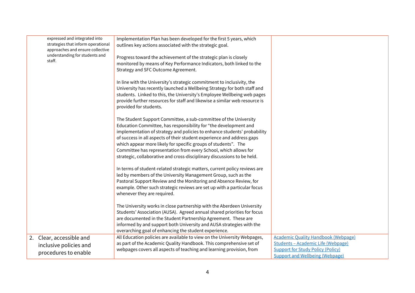| expressed and integrated into<br>strategies that inform operational<br>approaches and ensure collective | Implementation Plan has been developed for the first 5 years, which<br>outlines key actions associated with the strategic goal.                       |                                            |
|---------------------------------------------------------------------------------------------------------|-------------------------------------------------------------------------------------------------------------------------------------------------------|--------------------------------------------|
| understanding for students and<br>staff.                                                                | Progress toward the achievement of the strategic plan is closely                                                                                      |                                            |
|                                                                                                         | monitored by means of Key Performance Indicators, both linked to the                                                                                  |                                            |
|                                                                                                         | Strategy and SFC Outcome Agreement.                                                                                                                   |                                            |
|                                                                                                         |                                                                                                                                                       |                                            |
|                                                                                                         | In line with the University's strategic commitment to inclusivity, the                                                                                |                                            |
|                                                                                                         | University has recently launched a Wellbeing Strategy for both staff and                                                                              |                                            |
|                                                                                                         | students. Linked to this, the University's Employee Wellbeing web pages<br>provide further resources for staff and likewise a similar web resource is |                                            |
|                                                                                                         | provided for students.                                                                                                                                |                                            |
|                                                                                                         |                                                                                                                                                       |                                            |
|                                                                                                         | The Student Support Committee, a sub-committee of the University                                                                                      |                                            |
|                                                                                                         | Education Committee, has responsibility for "the development and                                                                                      |                                            |
|                                                                                                         | implementation of strategy and policies to enhance students' probability                                                                              |                                            |
|                                                                                                         | of success in all aspects of their student experience and address gaps                                                                                |                                            |
|                                                                                                         | which appear more likely for specific groups of students". The                                                                                        |                                            |
|                                                                                                         | Committee has representation from every School, which allows for                                                                                      |                                            |
|                                                                                                         | strategic, collaborative and cross-disciplinary discussions to be held.                                                                               |                                            |
|                                                                                                         | In terms of student-related strategic matters, current policy reviews are                                                                             |                                            |
|                                                                                                         | led by members of the University Management Group, such as the                                                                                        |                                            |
|                                                                                                         | Pastoral Support Review and the Monitoring and Absence Review, for                                                                                    |                                            |
|                                                                                                         | example. Other such strategic reviews are set up with a particular focus                                                                              |                                            |
|                                                                                                         | whenever they are required.                                                                                                                           |                                            |
|                                                                                                         |                                                                                                                                                       |                                            |
|                                                                                                         | The University works in close partnership with the Aberdeen University                                                                                |                                            |
|                                                                                                         | Students' Association (AUSA). Agreed annual shared priorities for focus                                                                               |                                            |
|                                                                                                         | are documented in the Student Partnership Agreement. These are<br>informed by and support both University and AUSA strategies with the                |                                            |
|                                                                                                         | overarching goal of enhancing the student experience.                                                                                                 |                                            |
| 2. Clear, accessible and                                                                                | All Education policies are available to view on the University Webpages,                                                                              | <b>Academic Quality Handbook (Webpage)</b> |
|                                                                                                         | as part of the Academic Quality Handbook. This comprehensive set of                                                                                   | Students - Academic Life (Webpage)         |
| inclusive policies and                                                                                  | webpages covers all aspects of teaching and learning provision, from                                                                                  | <b>Support for Study Policy (Policy)</b>   |
| procedures to enable                                                                                    |                                                                                                                                                       | <b>Support and Wellbeing (Webpage)</b>     |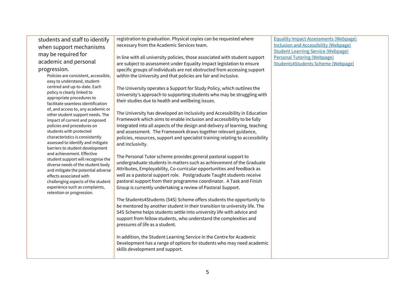students and staff to identify when support mechanisms may be required for academic and personal progression.

> Policies are consistent, accessible, easy to understand, studentcentred and up-to-date. Each policy is clearly linked to appropriate procedures to facilitate seamless identification of, and access to, any academic or other student support needs. The impact of current and proposed policies and procedures on students with protected characteristics is consistently assessed to identify and mitigate barriers to student development and achievement. Effective student support will recognise the diverse needs of the student body and mitigate the potential adverse effects associated with challenging aspects of the student experience such as complaints, retention or progression.

registration to graduation. Physical copies can be requested where necessary from the Academic Services team.

In line with all university policies, those associated with student support are subject to assessment under Equality Impact legislation to ensure specific groups of individuals are not obstructed from accessing support within the University and that policies are fair and inclusive.

The University operates a Support for Study Policy, which outlines the University's approach to supporting students who may be struggling with their studies due to health and wellbeing issues.

The University has developed an Inclusivity and Accessibility in Education Framework which aims to enable inclusion and accessibility to be fully integrated into all aspects of the design and delivery of learning, teaching and assessment. The Framework draws together relevant guidance, policies, resources, support and specialist training relating to accessibility and inclusivity.

The Personal Tutor scheme provides general pastoral support to undergraduate students in matters such as achievement of the Graduate Attributes, Employability, Co-curricular opportunities and feedback as well as a pastoral support role. Postgraduate Taught students receive pastoral support from their programme coordinator. A Task and Finish Group is currently undertaking a review of Pastoral Support.

The Students4Students (S4S) Scheme offers students the opportunity to be mentored by another student in their transition to university life. The S4S Scheme helps students settle into university life with advice and support from fellow students, who understand the complexities and pressures of life as a student.

In addition, the Student Learning Service in the Centre for Academic Development has a range of options for students who may need academic skills development and support.

[Equality Impact Assessments \(Webpage\)](https://www.abdn.ac.uk/staffnet/working-here/governance-policy-and-guidance-13323.php#panel13403) [Inclusion and Accessibility \(Webpage\)](https://www.abdn.ac.uk/staffnet/teaching/inclusivity-and-accessibility-in-education-framework.php) [Student Learning Service \(Webpage\)](https://www.abdn.ac.uk/students/academic-life/study-resources-3379.php#panel3953) [Personal Tutoring \(Webpage\)](https://www.abdn.ac.uk/students/support/undergraduate-personal-tutoring-4764.php) [Students4Students Scheme \(Webpage\)](https://www.abdn.ac.uk/students/support/students-4-students.php)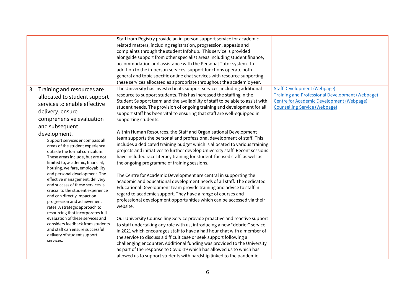|                                                                 | Staff from Registry provide an in-person support service for academic         |                                                        |
|-----------------------------------------------------------------|-------------------------------------------------------------------------------|--------------------------------------------------------|
|                                                                 | related matters, including registration, progression, appeals and             |                                                        |
|                                                                 | complaints through the student Infohub. This service is provided              |                                                        |
|                                                                 | alongside support from other specialist areas including student finance,      |                                                        |
|                                                                 | accommodation and assistance with the Personal Tutor system. In               |                                                        |
|                                                                 | addition to the in-person services, support functions operate both            |                                                        |
|                                                                 | general and topic specific online chat services with resource supporting      |                                                        |
|                                                                 | these services allocated as appropriate throughout the academic year.         |                                                        |
| 3. Training and resources are                                   | The University has invested in its support services, including additional     | <b>Staff Development (Webpage)</b>                     |
| allocated to student support                                    | resource to support students. This has increased the staffing in the          | <b>Training and Professional Development (Webpage)</b> |
| services to enable effective                                    | Student Support team and the availability of staff to be able to assist with  | <b>Centre for Academic Development (Webpage)</b>       |
|                                                                 | student needs. The provision of ongoing training and development for all      | <b>Counselling Service (Webpage)</b>                   |
| delivery, ensure                                                | support staff has been vital to ensuring that staff are well-equipped in      |                                                        |
| comprehensive evaluation                                        | supporting students.                                                          |                                                        |
| and subsequent                                                  |                                                                               |                                                        |
| development.                                                    | Within Human Resources, the Staff and Organisational Development              |                                                        |
| Support services encompass all                                  | team supports the personal and professional development of staff. This        |                                                        |
| areas of the student experience                                 | includes a dedicated training budget which is allocated to various training   |                                                        |
| outside the formal curriculum.                                  | projects and initiatives to further develop University staff. Recent sessions |                                                        |
| These areas include, but are not                                | have included race literacy training for student-focused staff, as well as    |                                                        |
| limited to, academic, financial,                                | the ongoing programme of training sessions.                                   |                                                        |
| housing, welfare, employability                                 |                                                                               |                                                        |
| and personal development. The                                   | The Centre for Academic Development are central in supporting the             |                                                        |
| effective management, delivery                                  | academic and educational development needs of all staff. The dedicated        |                                                        |
| and success of these services is                                | Educational Development team provide training and advice to staff in          |                                                        |
| crucial to the student experience<br>and can directly impact on | regard to academic support. They have a range of courses and                  |                                                        |
| progression and achievement                                     | professional development opportunities which can be accessed via their        |                                                        |
| rates. A strategic approach to                                  | website.                                                                      |                                                        |
| resourcing that incorporates full                               |                                                                               |                                                        |
| evaluation of these services and                                | Our University Counselling Service provide proactive and reactive support     |                                                        |
| considers feedback from students                                | to staff undertaking any role with us, introducing a new "debrief" service    |                                                        |
| and staff can ensure successful                                 | in 2021 which encourages staff to have a half hour chat with a member of      |                                                        |
| delivery of student support                                     | the service to discuss a difficult case or seek support following a           |                                                        |
| services.                                                       | challenging encounter. Additional funding was provided to the University      |                                                        |
|                                                                 |                                                                               |                                                        |
|                                                                 | as part of the response to Covid-19 which has allowed us to which has         |                                                        |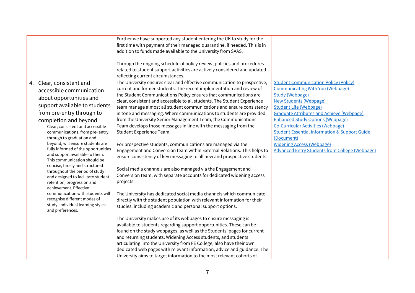|                                                                                                                                                                                                                                                                                                                                                                                                                                                                                                                                                                  | Further we have supported any student entering the UK to study for the<br>first time with payment of their managed quarantine, if needed. This is in<br>addition to funds made available to the University from SAAS.<br>Through the ongoing schedule of policy review, policies and procedures<br>related to student support activities are actively considered and updated                                                                                                                                                                                                                                                                                                                                                                                                                                                                                                                                                                                                                                                           |                                                                                                                                                                                                                                                                                                                                                                                                                                                                                                        |
|------------------------------------------------------------------------------------------------------------------------------------------------------------------------------------------------------------------------------------------------------------------------------------------------------------------------------------------------------------------------------------------------------------------------------------------------------------------------------------------------------------------------------------------------------------------|----------------------------------------------------------------------------------------------------------------------------------------------------------------------------------------------------------------------------------------------------------------------------------------------------------------------------------------------------------------------------------------------------------------------------------------------------------------------------------------------------------------------------------------------------------------------------------------------------------------------------------------------------------------------------------------------------------------------------------------------------------------------------------------------------------------------------------------------------------------------------------------------------------------------------------------------------------------------------------------------------------------------------------------|--------------------------------------------------------------------------------------------------------------------------------------------------------------------------------------------------------------------------------------------------------------------------------------------------------------------------------------------------------------------------------------------------------------------------------------------------------------------------------------------------------|
| 4. Clear, consistent and<br>accessible communication<br>about opportunities and<br>support available to students<br>from pre-entry through to<br>completion and beyond.<br>Clear, consistent and accessible<br>communications, from pre- entry<br>through to graduation and<br>beyond, will ensure students are<br>fully informed of the opportunities<br>and support available to them.<br>This communication should be<br>concise, timely and structured<br>throughout the period of study<br>and designed to facilitate student<br>retention, progression and | reflecting current circumstances.<br>The University ensures clear and effective communication to prospective,<br>current and former students. The recent implementation and review of<br>the Student Communications Policy ensures that communications are<br>clear, consistent and accessible to all students. The Student Experience<br>team manage almost all student communications and ensure consistency<br>in tone and messaging. Where communications to students are provided<br>from the University Senior Management Team, the Communications<br>Team develops those messages in line with the messaging from the<br>Student Experience Team.<br>For prospective students, communications are managed via the<br>Engagement and Conversion team within External Relations. This helps to<br>ensure consistency of key messaging to all new and prospective students.<br>Social media channels are also managed via the Engagement and<br>Conversion team, with separate accounts for dedicated widening access<br>projects. | <b>Student Communication Policy (Policy)</b><br><b>Communicating With You (Webpage)</b><br><b>Study (Webpage)</b><br><b>New Students (Webpage)</b><br><b>Student Life (Webpage)</b><br><b>Graduate Attributes and Achieve (Webpage)</b><br><b>Enhanced Study Options (Webpage)</b><br><b>Co-Curricular Activities (Webpage)</b><br><b>Student Essential Information &amp; Support Guide</b><br>(Document)<br><b>Widening Access (Webpage)</b><br><b>Advanced Entry Students from College (Webpage)</b> |
| achievement. Effective<br>communication with students will<br>recognise different modes of<br>study, individual learning styles<br>and preferences.                                                                                                                                                                                                                                                                                                                                                                                                              | The University has dedicated social media channels which communicate<br>directly with the student population with relevant information for their<br>studies, including academic and personal support options.<br>The University makes use of its webpages to ensure messaging is<br>available to students regarding support opportunities. These can be<br>found on the study webpages, as well as the Students' pages for current<br>and returning students. Widening Access students, and students<br>articulating into the University from FE College, also have their own<br>dedicated web pages with relevant information, advice and guidance. The<br>University aims to target information to the most relevant cohorts of                                                                                                                                                                                                                                                                                                      |                                                                                                                                                                                                                                                                                                                                                                                                                                                                                                        |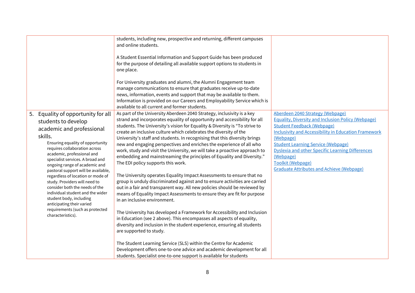|                                                                                                                                                                                                                                                                                                                                                                                                                                                                                                                                                                                 | students, including new, prospective and returning, different campuses<br>and online students.                                                                                                                                                                                                                                                                                                                                                                                                                                                                                                                                                                                                                                                                                                                                                                                                                                                                                                                                                                                                                                                                                                                                                                                                                                              |                                                                                                                                                                                                                                                                                                                                                                                                              |
|---------------------------------------------------------------------------------------------------------------------------------------------------------------------------------------------------------------------------------------------------------------------------------------------------------------------------------------------------------------------------------------------------------------------------------------------------------------------------------------------------------------------------------------------------------------------------------|---------------------------------------------------------------------------------------------------------------------------------------------------------------------------------------------------------------------------------------------------------------------------------------------------------------------------------------------------------------------------------------------------------------------------------------------------------------------------------------------------------------------------------------------------------------------------------------------------------------------------------------------------------------------------------------------------------------------------------------------------------------------------------------------------------------------------------------------------------------------------------------------------------------------------------------------------------------------------------------------------------------------------------------------------------------------------------------------------------------------------------------------------------------------------------------------------------------------------------------------------------------------------------------------------------------------------------------------|--------------------------------------------------------------------------------------------------------------------------------------------------------------------------------------------------------------------------------------------------------------------------------------------------------------------------------------------------------------------------------------------------------------|
|                                                                                                                                                                                                                                                                                                                                                                                                                                                                                                                                                                                 | A Student Essential Information and Support Guide has been produced<br>for the purpose of detailing all available support options to students in<br>one place.                                                                                                                                                                                                                                                                                                                                                                                                                                                                                                                                                                                                                                                                                                                                                                                                                                                                                                                                                                                                                                                                                                                                                                              |                                                                                                                                                                                                                                                                                                                                                                                                              |
|                                                                                                                                                                                                                                                                                                                                                                                                                                                                                                                                                                                 | For University graduates and alumni, the Alumni Engagement team<br>manage communications to ensure that graduates receive up-to-date<br>news, information, events and support that may be available to them.<br>Information is provided on our Careers and Employability Service which is<br>available to all current and former students.                                                                                                                                                                                                                                                                                                                                                                                                                                                                                                                                                                                                                                                                                                                                                                                                                                                                                                                                                                                                  |                                                                                                                                                                                                                                                                                                                                                                                                              |
| Equality of opportunity for all<br>5.<br>students to develop<br>academic and professional<br>skills.<br>Ensuring equality of opportunity<br>requires collaboration across<br>academic, professional and<br>specialist services. A broad and<br>ongoing range of academic and<br>pastoral support will be available,<br>regardless of location or mode of<br>study. Providers will need to<br>consider both the needs of the<br>individual student and the wider<br>student body, including<br>anticipating their varied<br>requirements (such as protected<br>characteristics). | As part of the University Aberdeen 2040 Strategy, inclusivity is a key<br>strand and incorporates equality of opportunity and accessibility for all<br>students. The University's vision for Equality & Diversity is "To strive to<br>create an inclusive culture which celebrates the diversity of the<br>University's staff and students. In recognising that this diversity brings<br>new and engaging perspectives and enriches the experience of all who<br>work, study and visit the University, we will take a proactive approach to<br>embedding and mainstreaming the principles of Equality and Diversity."<br>The EDI policy supports this work.<br>The University operates Equality Impact Assessments to ensure that no<br>group is unduly discriminated against and to ensure activities are carried<br>out in a fair and transparent way. All new policies should be reviewed by<br>means of Equality Impact Assessments to ensure they are fit for purpose<br>in an inclusive environment.<br>The University has developed a Framework for Accessibility and Inclusion<br>in Education (see 2 above). This encompasses all aspects of equality,<br>diversity and inclusion in the student experience, ensuring all students<br>are supported to study.<br>The Student Learning Service (SLS) within the Centre for Academic | Aberdeen 2040 Strategy (Webpage)<br><b>Equality, Diversity and Inclusion Policy (Webpage)</b><br><b>Student Feedback (Webpage)</b><br><b>Inclusivity and Accessibility in Education Framework</b><br>(Webpage)<br><b>Student Learning Service (Webpage)</b><br><b>Dyslexia and other Specific Learning Differences</b><br>(Webpage)<br>Toolkit (Webpage)<br><b>Graduate Attributes and Achieve (Webpage)</b> |
|                                                                                                                                                                                                                                                                                                                                                                                                                                                                                                                                                                                 | Development offers one-to-one advice and academic development for all<br>students. Specialist one-to-one support is available for students                                                                                                                                                                                                                                                                                                                                                                                                                                                                                                                                                                                                                                                                                                                                                                                                                                                                                                                                                                                                                                                                                                                                                                                                  |                                                                                                                                                                                                                                                                                                                                                                                                              |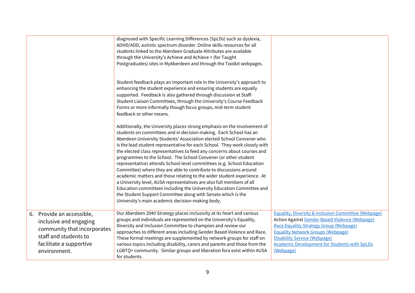|                                                                                                                                                        | diagnosed with Specific Learning Differences (SpLDs) such as dyslexia,<br>ADHD/ADD, autistic spectrum disorder. Online skills resources for all<br>students linked to the Aberdeen Graduate Attributes are available<br>through the University's Achieve and Achieve + (for Taught<br>Postgraduates) sites in MyAberdeen and through the Toolkit webpages.<br>Student feedback plays an important role in the University's approach to<br>enhancing the student experience and ensuring students are equally<br>supported. Feedback is also gathered through discussion at Staff-<br>Student Liaison Committees, through the University's Course Feedback<br>Forms or more informally though focus groups, mid-term student<br>feedback or other means.<br>Additionally, the University places strong emphasis on the involvement of<br>students on committees and in decision making. Each School has an<br>Aberdeen University Students' Association elected School Convener who<br>is the lead student representative for each School. They work closely with<br>the elected class representatives to feed any concerns about courses and<br>programmes to the School. The School Convener (or other student<br>representative) attends School-level committees (e.g. School Education<br>Committee) where they are able to contribute to discussions around<br>academic matters and those relating to the wider student experience. At<br>a University level, AUSA representatives are also full members of all<br>Education committees including the University Education Committee and<br>the Student Support Committee along with Senate which is the<br>University's main academic decision-making body. |                                                                                                                                                                                                                                                                                                                          |
|--------------------------------------------------------------------------------------------------------------------------------------------------------|------------------------------------------------------------------------------------------------------------------------------------------------------------------------------------------------------------------------------------------------------------------------------------------------------------------------------------------------------------------------------------------------------------------------------------------------------------------------------------------------------------------------------------------------------------------------------------------------------------------------------------------------------------------------------------------------------------------------------------------------------------------------------------------------------------------------------------------------------------------------------------------------------------------------------------------------------------------------------------------------------------------------------------------------------------------------------------------------------------------------------------------------------------------------------------------------------------------------------------------------------------------------------------------------------------------------------------------------------------------------------------------------------------------------------------------------------------------------------------------------------------------------------------------------------------------------------------------------------------------------------------------------------------------------------------------------------------------|--------------------------------------------------------------------------------------------------------------------------------------------------------------------------------------------------------------------------------------------------------------------------------------------------------------------------|
|                                                                                                                                                        |                                                                                                                                                                                                                                                                                                                                                                                                                                                                                                                                                                                                                                                                                                                                                                                                                                                                                                                                                                                                                                                                                                                                                                                                                                                                                                                                                                                                                                                                                                                                                                                                                                                                                                                  |                                                                                                                                                                                                                                                                                                                          |
| 6. Provide an accessible,<br>inclusive and engaging<br>community that incorporates<br>staff and students to<br>facilitate a supportive<br>environment. | Our Aberdeen 2040 Strategy places inclusivity at its heart and various<br>groups and individuals are represented on the University's Equality,<br>Diversity and Inclusion Committee to champion and review our<br>approaches to different areas including Gender Based Violence and Race.<br>These formal meetings are supplemented by network groups for staff on<br>various topics including disability, carers and parents and those from the<br>LGBTQ+ community. Similar groups and liberation fora exist within AUSA<br>for students.                                                                                                                                                                                                                                                                                                                                                                                                                                                                                                                                                                                                                                                                                                                                                                                                                                                                                                                                                                                                                                                                                                                                                                      | <b>Equality, Diversity &amp; Inclusion Committee (Webpage)</b><br><b>Action Against Gender Based Violence (Webpage)</b><br>Race Equality Strategy Group (Webpage)<br><b>Equality Network Groups (Webpage)</b><br><b>Disability Service (Webpage)</b><br><b>Academic Development for Students with SpLDs</b><br>(Webpage) |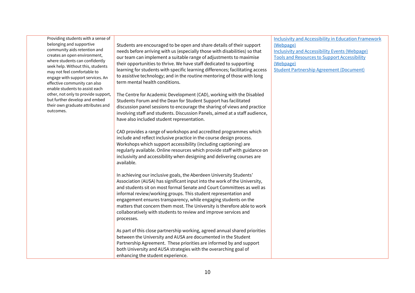Providing students with a sense of belonging and supportive community aids retention and creates an open environment, where students can confidently seek help. Without this, students may not feel comfortable to engage with support services. An effective community can also enable students to assist each other, not only to provide support, but further develop and embed their own graduate attributes and outcomes.

Students are encouraged to be open and share details of their support needs before arriving with us (especially those with disabilities) so that our team can implement a suitable range of adjustments to maximise their opportunities to thrive. We have staff dedicated to supporting learning for students with specific learning differences; facilitating access to assistive technology; and in the routine mentoring of those with long term mental health conditions.

The Centre for Academic Development (CAD), working with the Disabled Students Forum and the Dean for Student Support has facilitated discussion panel sessions to encourage the sharing of views and practice involving staff and students. Discussion Panels, aimed at a staff audience, have also included student representation.

CAD provides a range of workshops and accredited programmes which include and reflect inclusive practice in the course design process. Workshops which support accessibility (including captioning) are regularly available. Online resources which provide staff with guidance on inclusivity and accessibility when designing and delivering courses are available.

In achieving our inclusive goals, the Aberdeen University Students' Association (AUSA) has significant input into the work of the University, and students sit on most formal Senate and Court Committees as well as informal review/working groups. This student representation and engagement ensures transparency, while engaging students on the matters that concern them most. The University is therefore able to work collaboratively with students to review and improve services and processes.

As part of this close partnership working, agreed annual shared priorities between the University and AUSA are documented in the Student Partnership Agreement. These priorities are informed by and support both University and AUSA strategies with the overarching goal of enhancing the student experience.

[Inclusivity and Accessibility in Education Framework](https://www.abdn.ac.uk/staffnet/teaching/inclusivity-and-accessibility-in-education-framework.php)  [\(Webpage\)](https://www.abdn.ac.uk/staffnet/teaching/inclusivity-and-accessibility-in-education-framework.php)

[Inclusivity and Accessibility Events \(Webpage\)](https://www.abdn.ac.uk/staffnet/teaching/events-14140.php) [Tools and Resources to Support Accessibility](https://www.abdn.ac.uk/staffnet/teaching/tools-and-resources-14108.php)  [\(Webpage\)](https://www.abdn.ac.uk/staffnet/teaching/tools-and-resources-14108.php)

[Student Partnership Agreement \(Document\)](https://www.abdn.ac.uk/students/documents/SPA%202021%2022.pdf)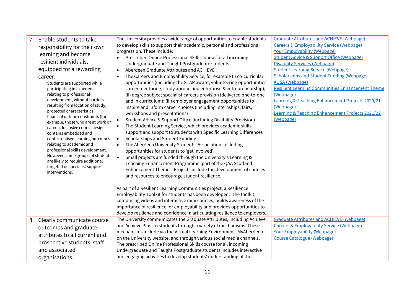| Enable students to take<br>7.                                        | The University provides a wide range of opportunities to enable students          | <b>Graduate Attributes and ACHIEVE (Webpage)</b>            |
|----------------------------------------------------------------------|-----------------------------------------------------------------------------------|-------------------------------------------------------------|
| responsibility for their own                                         | to develop skills to support their academic, personal and professional            | <b>Careers &amp; Employability Service (Webpage)</b>        |
| learning and become                                                  | progression. These include:                                                       | <b>Your Employability (Webpage)</b>                         |
|                                                                      | Prescribed Online Professional Skills course for all incoming                     | <b>Student Advice &amp; Support Office (Webpage)</b>        |
| resilient individuals,                                               | Undergraduate and Taught Postgraduate students                                    | <b>Disability Services (Webpage)</b>                        |
| equipped for a rewarding                                             | Aberdeen Graduate Attributes and ACHIEVE<br>$\bullet$                             | <b>Student Learning Service (Webpage)</b>                   |
| career.                                                              | The Careers and Employability Service; for example (i) co-curricular<br>$\bullet$ | <b>Scholarships and Student Funding (Webpage)</b>           |
| Students are supported while                                         | opportunities (including the STAR award, volunteering opportunities,              | <b>AUSA</b> (Webpage)                                       |
| participating in experiences                                         | career mentoring, study abroad and enterprise & entrepreneurship);                | <b>Resilient Learning Communities Enhancement Theme</b>     |
| relating to professional                                             | (ii) degree subject specialist careers provision (delivered one-to-one            | (Webpage)                                                   |
| development, without barriers                                        | and in curriculum); (iii) employer engagement opportunities to                    | Learning & Teaching Enhancement Projects 2020/21            |
| resulting from location of study,<br>protected characteristics,      | inspire and inform career choices (including internships, fairs,                  | (Webpage)                                                   |
| financial or time constraints (for                                   | workshops and presentations)                                                      | <b>Learning &amp; Teaching Enhancement Projects 2021/22</b> |
| example, those who are at work or                                    | Student Advice & Support Office (including Disability Provision)<br>$\bullet$     | (Webpage)                                                   |
| carers). Inclusive course design                                     | The Student Learning Service, which provides academic skills<br>$\bullet$         |                                                             |
| contains embedded and                                                | support and support to students with Specific Learning Differences                |                                                             |
| contextualised learning outcomes                                     | Scholarships and Student Funding<br>$\bullet$                                     |                                                             |
| relating to academic and                                             | The Aberdeen University Students' Association, including<br>$\bullet$             |                                                             |
| professional skills development.                                     | opportunities for students to 'get involved'                                      |                                                             |
| However, some groups of students<br>are likely to require additional | Small projects are funded through the University's Learning &<br>$\bullet$        |                                                             |
| targeted or specialist support                                       | Teaching Enhancement Programme, part of the QAA Scotland                          |                                                             |
| interventions.                                                       | Enhancement Themes. Projects include the development of courses                   |                                                             |
|                                                                      | and resources to encourage student resilience.                                    |                                                             |
|                                                                      |                                                                                   |                                                             |
|                                                                      | As part of a Resilient Learning Communities project, a Resilience                 |                                                             |
|                                                                      | Employability Toolkit for students has been developed. The toolkit,               |                                                             |
|                                                                      | comprising videos and interactive mini courses, builds awareness of the           |                                                             |
|                                                                      | importance of resilience for employability and provides opportunities to          |                                                             |
|                                                                      | develop resilience and confidence in articulating resilience to employers.        |                                                             |
| 8. Clearly communicate course                                        | The University communicates the Graduate Attributes, including Achieve            | <b>Graduate Attributes and ACHIEVE (Webpage)</b>            |
| outcomes and graduate                                                | and Achieve Plus, to students through a variety of mechanisms. These              | <b>Careers &amp; Employability Service (Webpage)</b>        |
| attributes to all current and                                        | mechanisms include via the Virtual Learning Environment, MyAberdeen,              | <b>Your Employability (Webpage)</b>                         |
| prospective students, staff                                          | on the University website, and through various social media channels.             | <b>Course Catalogue (Webpage)</b>                           |
|                                                                      | The prescribed Online Professional Skills course for all incoming                 |                                                             |
| and associated                                                       | Undergraduate and Taught Postgraduate students includes interactive               |                                                             |
| organisations.                                                       | and engaging activities to develop students' understanding of the                 |                                                             |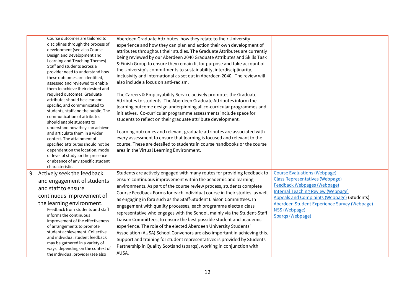| Course outcomes are tailored to<br>disciplines through the process of<br>development (see also Course<br>Design and Development and<br>Learning and Teaching Themes).<br>Staff and students across a<br>provider need to understand how<br>these outcomes are identified,<br>assessed and reviewed to enable<br>them to achieve their desired and<br>required outcomes. Graduate<br>attributes should be clear and<br>specific, and communicated to<br>students, staff and the public. The<br>communication of attributes<br>should enable students to<br>understand how they can achieve<br>and articulate them in a wider<br>context. The attainment of<br>specified attributes should not be<br>dependent on the location, mode<br>or level of study, or the presence<br>or absence of any specific student | Aberdeen Graduate Attributes, how they relate to their University<br>experience and how they can plan and action their own development of<br>attributes throughout their studies. The Graduate Attributes are currently<br>being reviewed by our Aberdeen 2040 Graduate Attributes and Skills Task<br>& Finish Group to ensure they remain fit for purpose and take account of<br>the University's commitments to sustainability, interdisciplinarity,<br>inclusivity and international as set out in Aberdeen 2040. The review will<br>also include a focus on anti-racism.<br>The Careers & Employability Service actively promotes the Graduate<br>Attributes to students. The Aberdeen Graduate Attributes inform the<br>learning outcome design underpinning all co-curricular programmes and<br>initiatives. Co-curricular programme assessments include space for<br>students to reflect on their graduate attribute development.<br>Learning outcomes and relevant graduate attributes are associated with<br>every assessment to ensure that learning is focused and relevant to the<br>course. These are detailed to students in course handbooks or the course<br>area in the Virtual Learning Environment. |                                                                                                                                                                                                                                                                                                             |
|----------------------------------------------------------------------------------------------------------------------------------------------------------------------------------------------------------------------------------------------------------------------------------------------------------------------------------------------------------------------------------------------------------------------------------------------------------------------------------------------------------------------------------------------------------------------------------------------------------------------------------------------------------------------------------------------------------------------------------------------------------------------------------------------------------------|------------------------------------------------------------------------------------------------------------------------------------------------------------------------------------------------------------------------------------------------------------------------------------------------------------------------------------------------------------------------------------------------------------------------------------------------------------------------------------------------------------------------------------------------------------------------------------------------------------------------------------------------------------------------------------------------------------------------------------------------------------------------------------------------------------------------------------------------------------------------------------------------------------------------------------------------------------------------------------------------------------------------------------------------------------------------------------------------------------------------------------------------------------------------------------------------------------------------|-------------------------------------------------------------------------------------------------------------------------------------------------------------------------------------------------------------------------------------------------------------------------------------------------------------|
| characteristic.<br>9. Actively seek the feedback<br>and engagement of students<br>and staff to ensure<br>continuous improvement of<br>the learning environment.<br>Feedback from students and staff<br>informs the continuous<br>improvement of the effectiveness<br>of arrangements to promote<br>student achievement. Collective<br>and individual student feedback<br>may be gathered in a variety of<br>ways, depending on the context of<br>the individual provider (see also                                                                                                                                                                                                                                                                                                                             | Students are actively engaged with many routes for providing feedback to<br>ensure continuous improvement within the academic and learning<br>environments. As part of the course review process, students complete<br>Course Feedback Forms for each individual course in their studies, as well<br>as engaging in fora such as the Staff-Student Liaison Committees. In<br>engagement with quality processes, each programme elects a class<br>representative who engages with the School, mainly via the Student-Staff<br>Liaison Committees, to ensure the best possible student and academic<br>experience. The role of the elected Aberdeen University Students'<br>Association (AUSA) School Convenors are also important in achieving this.<br>Support and training for student representatives is provided by Students<br>Partnership in Quality Scotland (spargs), working in conjunction with<br>AUSA.                                                                                                                                                                                                                                                                                                      | <b>Course Evaluations (Webpage)</b><br><b>Class Representatives (Webpage)</b><br><b>Feedback Webpages (Webpage)</b><br><b>Internal Teaching Review (Webpage)</b><br><b>Appeals and Complaints (Webpage) (Students)</b><br>Aberdeen Student Experience Survey (Webpage)<br>NSS (Webpage)<br>Spargs (Webpage) |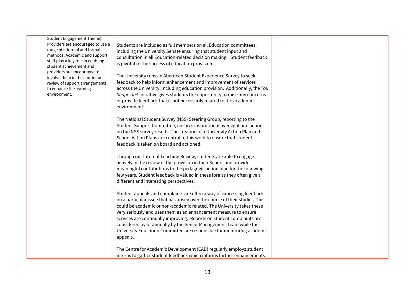Student Engagement Theme). Providers are encouraged to use a range of informal and formal methods. Academic and support staff play a key role in enabling student achievement and providers are encouraged to involve them in the continuous review of support arrangements to enhance the learning environment.

Students are included as full members on all Education committees, including the University Senate ensuring that student input and consultation in all Education-related decision making. Student feedback is pivotal to the success of education provision.

The University runs an Aberdeen Student Experience Survey to seek feedback to help inform enhancement and improvement of services across the University, including education provision. Additionally, the *You Shape UoA* Initiative gives students the opportunity to raise any concerns or provide feedback that is not necessarily related to the academic environment.

The National Student Survey (NSS) Steering Group, reporting to the Student Support Committee, ensures institutional oversight and action on the NSS survey results. The creation of a University Action Plan and School Action Plans are central to this work to ensure that student feedback is taken on board and actioned.

Through our Internal Teaching Review, students are able to engage actively in the review of the provision in their School and provide meaningful contributions to the pedagogic action plan for the following few years. Student feedback is valued in these fora as they often give a different and interesting perspectives.

Student appeals and complaints are often a way of expressing feedback on a particular issue that has arisen over the course of their studies. This could be academic or non-academic related. The University takes these very seriously and uses them as an enhancement measure to ensure services are continually improving. Reports on student complaints are considered by bi-annually by the Senior Management Team while the University Education Committee are responsible for monitoring academic appeals.

The Centre for Academic Development (CAD) regularly employs student interns to gather student feedback which informs further enhancements